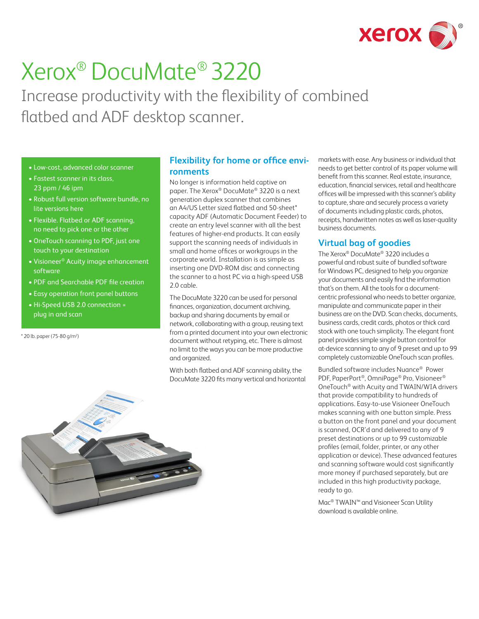

# Xerox® DocuMate® 3220

Increase productivity with the flexibility of combined flatbed and ADF desktop scanner.

- Low-cost, advanced color scanner
- Fastest scanner in its class, 23 ppm / 46 ipm
- Robust full version software bundle, no lite versions here
- Flexible. Flatbed or ADF scanning, no need to pick one or the other
- OneTouch scanning to PDF, just one touch to your destination
- Visioneer® Acuity image enhancement software
- PDF and Searchable PDF file creation
- Easy operation front panel buttons
- Hi-Speed USB 2.0 connection = plug in and scan

\* 20 lb. paper (75-80 g/m2 )

# **Flexibility for home or office environments**

No longer is information held captive on paper. The Xerox® DocuMate® 3220 is a next generation duplex scanner that combines an A4/US Letter sized flatbed and 50-sheet\* capacity ADF (Automatic Document Feeder) to create an entry level scanner with all the best features of higher-end products. It can easily support the scanning needs of individuals in small and home offices or workgroups in the corporate world. Installation is as simple as inserting one DVD-ROM disc and connecting the scanner to a host PC via a high-speed USB 2.0 cable.

The DocuMate 3220 can be used for personal finances, organization, document archiving, backup and sharing documents by email or network, collaborating with a group, reusing text from a printed document into your own electronic document without retyping, etc. There is almost no limit to the ways you can be more productive and organized.

With both flatbed and ADF scanning ability, the DocuMate 3220 fits many vertical and horizontal markets with ease. Any business or individual that needs to get better control of its paper volume will benefit from this scanner. Real estate, insurance, education, financial services, retail and healthcare offices will be impressed with this scanner's ability to capture, share and securely process a variety of documents including plastic cards, photos, receipts, handwritten notes as well as laser-quality business documents.

# **Virtual bag of goodies**

The Xerox® DocuMate® 3220 includes a powerful and robust suite of bundled software for Windows PC, designed to help you organize your documents and easily find the information that's on them. All the tools for a documentcentric professional who needs to better organize, manipulate and communicate paper in their business are on the DVD. Scan checks, documents, business cards, credit cards, photos or thick card stock with one touch simplicity. The elegant front panel provides simple single button control for at-device scanning to any of 9 preset and up to 99 completely customizable OneTouch scan profiles.

Bundled software includes Nuance® Power PDF, PaperPort®, OmniPage® Pro, Visioneer® OneTouch® with Acuity and TWAIN/WIA drivers that provide compatibility to hundreds of applications. Easy-to-use Visioneer OneTouch makes scanning with one button simple. Press a button on the front panel and your document is scanned, OCR'd and delivered to any of 9 preset destinations or up to 99 customizable profiles (email, folder, printer, or any other application or device). These advanced features and scanning software would cost significantly more money if purchased separately, but are included in this high productivity package, ready to go.

Mac® TWAIN™ and Visioneer Scan Utility download is available online.